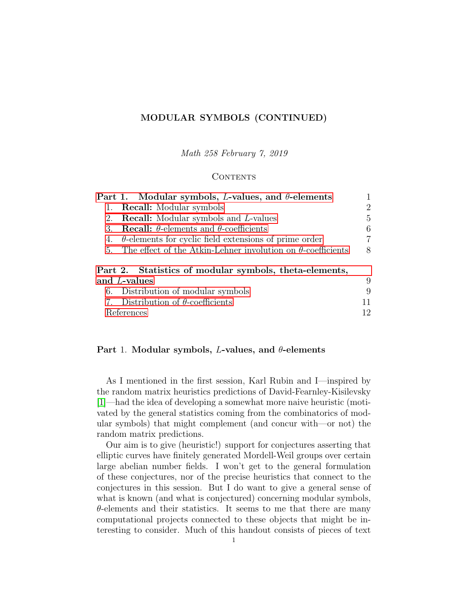# <span id="page-0-1"></span>MODULAR SYMBOLS (CONTINUED)

Math 258 February 7, 2019

#### **CONTENTS**

| Part 1. Modular symbols, L-values, and $\theta$ -elements              |    |
|------------------------------------------------------------------------|----|
| <b>Recall:</b> Modular symbols<br>1.                                   | 2  |
| <b>Recall:</b> Modular symbols and L-values<br>2.                      | 5  |
| <b>Recall:</b> $\theta$ -elements and $\theta$ -coefficients<br>3.     | 6  |
| 4. $\theta$ -elements for cyclic field extensions of prime order       | 7  |
| 5. The effect of the Atkin-Lehner involution on $\theta$ -coefficients | 8  |
| Part 2. Statistics of modular symbols, theta-elements,                 |    |
| and L-values                                                           | 9  |
| 6. Distribution of modular symbols                                     | 9  |
| 7. Distribution of $\theta$ -coefficients                              | 11 |
| References                                                             | 12 |

# <span id="page-0-0"></span>Part 1. Modular symbols, L-values, and  $\theta$ -elements

As I mentioned in the first session, Karl Rubin and I—inspired by the random matrix heuristics predictions of David-Fearnley-Kisilevsky [\[1\]](#page-11-1)—had the idea of developing a somewhat more naive heuristic (motivated by the general statistics coming from the combinatorics of modular symbols) that might complement (and concur with—or not) the random matrix predictions.

Our aim is to give (heuristic!) support for conjectures asserting that elliptic curves have finitely generated Mordell-Weil groups over certain large abelian number fields. I won't get to the general formulation of these conjectures, nor of the precise heuristics that connect to the conjectures in this session. But I do want to give a general sense of what is known (and what is conjectured) concerning modular symbols,  $\theta$ -elements and their statistics. It seems to me that there are many computational projects connected to these objects that might be interesting to consider. Much of this handout consists of pieces of text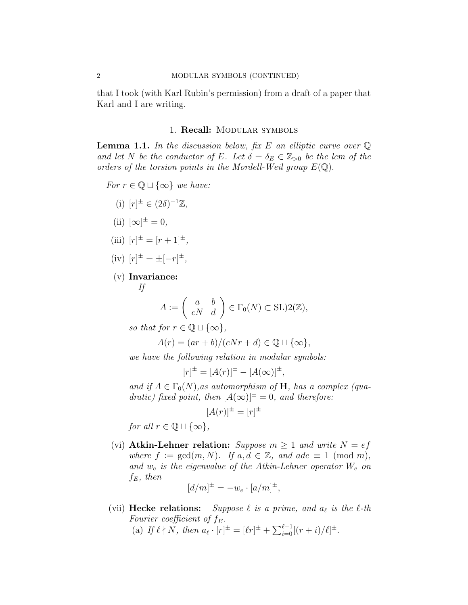that I took (with Karl Rubin's permission) from a draft of a paper that Karl and I are writing.

## 1. Recall: Modular symbols

<span id="page-1-1"></span><span id="page-1-0"></span>**Lemma 1.1.** In the discussion below, fix E an elliptic curve over  $\mathbb Q$ and let N be the conductor of E. Let  $\delta = \delta_E \in \mathbb{Z}_{\geq 0}$  be the lcm of the orders of the torsion points in the Mordell-Weil group  $E(\mathbb{Q})$ .

- For  $r \in \mathbb{Q} \sqcup \{\infty\}$  we have:
	- (i)  $[r]^{\pm} \in (2\delta)^{-1}\mathbb{Z},$
	- (ii)  $[\infty]^{\pm} = 0$ ,
	- (iii)  $[r]^{\pm} = [r+1]^{\pm}$ ,
	- $(iv)$   $[r]^{\pm} = \pm [-r]^{\pm}$ ,
	- (v) Invariance:

$$
If
$$

$$
A := \left( \begin{array}{cc} a & b \\ cN & d \end{array} \right) \in \Gamma_0(N) \subset \text{SL}(2(\mathbb{Z}),
$$

so that for  $r \in \mathbb{Q} \sqcup \{\infty\},\$ 

$$
A(r) = (ar + b)/(cNr + d) \in \mathbb{Q} \sqcup \{\infty\},\
$$

we have the following relation in modular symbols:

$$
[r]^{\pm} = [A(r)]^{\pm} - [A(\infty)]^{\pm},
$$

and if  $A \in \Gamma_0(N)$ , as automorphism of H, has a complex (quadratic) fixed point, then  $[A(\infty)]^{\pm} = 0$ , and therefore:

$$
[A(r)]^{\pm} = [r]^{\pm}
$$

for all  $r \in \mathbb{Q} \sqcup \{\infty\},\$ 

(vi) Atkin-Lehner relation: Suppose  $m \geq 1$  and write  $N = ef$ where  $f := \gcd(m, N)$ . If  $a, d \in \mathbb{Z}$ , and  $ade \equiv 1 \pmod{m}$ , and  $w_e$  is the eigenvalue of the Atkin-Lehner operator  $W_e$  on  $f_E$ , then

$$
[d/m]^{\pm} = -w_e \cdot [a/m]^{\pm},
$$

(vii) Hecke relations: Suppose  $\ell$  is a prime, and  $a_{\ell}$  is the  $\ell$ -th Fourier coefficient of  $f_E$ . (a) If  $\ell \nmid N$ , then  $a_{\ell} \cdot [r]^{\pm} = [\ell r]^{\pm} + \sum_{i=0}^{\ell-1} [(r+i)/\ell]^{\pm}$ .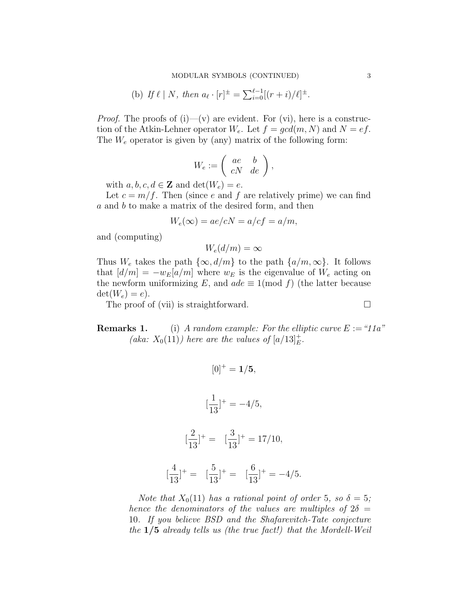(b) If 
$$
\ell | N
$$
, then  $a_{\ell} \cdot [r]^{\pm} = \sum_{i=0}^{\ell-1} [(r+i)/\ell]^{\pm}$ .

*Proof.* The proofs of  $(i)$ — $(v)$  are evident. For  $(vi)$ , here is a construction of the Atkin-Lehner operator  $W_e$ . Let  $f = gcd(m, N)$  and  $N = ef$ . The  $W_e$  operator is given by (any) matrix of the following form:

$$
W_e := \left( \begin{array}{cc} ae & b \\ cN & de \end{array} \right),
$$

with  $a, b, c, d \in \mathbf{Z}$  and  $\det(W_e) = e$ .

Let  $c = m/f$ . Then (since e and f are relatively prime) we can find a and b to make a matrix of the desired form, and then

$$
W_e(\infty) = ae/cN = a/cf = a/m,
$$

and (computing)

$$
W_e(d/m) = \infty
$$

Thus  $W_e$  takes the path  $\{\infty, d/m\}$  to the path  $\{a/m, \infty\}$ . It follows that  $[d/m] = -w_E[a/m]$  where  $w_E$  is the eigenvalue of  $W_e$  acting on the newform uniformizing E, and  $ade \equiv 1 \pmod{f}$  (the latter because  $\det(W_e) = e$ ).

The proof of (vii) is straightforward.  $\square$ 

[

**Remarks 1.** (i) A random example: For the elliptic curve  $E := 11a$ " (aka:  $X_0(11)$ ) here are the values of  $[a/13]_E^+$ .

$$
[0]^{+} = \mathbf{1}/\mathbf{5},
$$

$$
[\frac{1}{13}]^{+} = -4/5,
$$

$$
[\frac{2}{13}]^{+} = [\frac{3}{13}]^{+} = 17/10,
$$

$$
\frac{4}{13}]^{+} = [\frac{5}{13}]^{+} = [\frac{6}{13}]^{+} = -4/5.
$$

Note that  $X_0(11)$  has a rational point of order 5, so  $\delta = 5$ ; hence the denominators of the values are multiples of  $2\delta$  = 10. If you believe BSD and the Shafarevitch-Tate conjecture the 1/5 already tells us (the true fact!) that the Mordell-Weil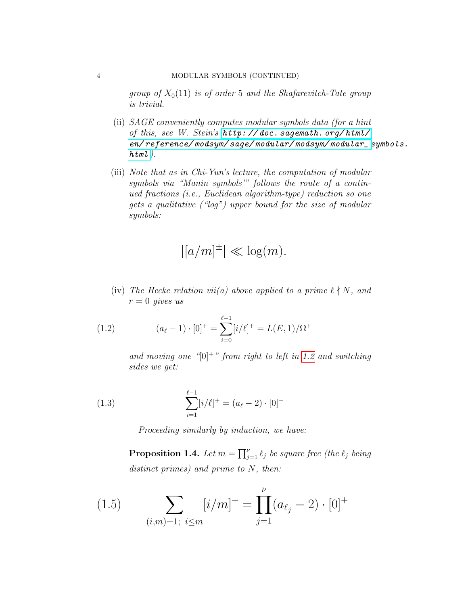group of  $X_0(11)$  is of order 5 and the Shafarevitch-Tate group is trivial.

- (ii) SAGE conveniently computes modular symbols data (for a hint of this, see W. Stein's [http: // doc. sagemath. org/ html/](http://doc.sagemath.org/html/en/reference/modsym/sage/modular/modsym/modular_symbols.html) [en/ reference/ modsym/ sage/ modular/ modsym/ modular\\_ s](http://doc.sagemath.org/html/en/reference/modsym/sage/modular/modsym/modular_symbols.html)ymbols.  $html$ ).
- (iii) Note that as in Chi-Yun's lecture, the computation of modular symbols via "Manin symbols'" follows the route of a continued fractions (i.e., Euclidean algorithm-type) reduction so one gets a qualitative ("log") upper bound for the size of modular symbols:

$$
|[a/m]^{\pm}| \ll \log(m).
$$

(iv) The Hecke relation vii(a) above applied to a prime  $\ell \nmid N$ , and  $r = 0$  gives us

(1.2) 
$$
(a_{\ell} - 1) \cdot [0]^{+} = \sum_{i=0}^{\ell-1} [i/\ell]^{+} = L(E, 1)/\Omega^{+}
$$

<span id="page-3-0"></span>and moving one " $[0]^+$ " from right to left in [1.2](#page-3-0) and switching sides we get:

(1.3) 
$$
\sum_{i=1}^{\ell-1} [i/\ell]^+ = (a_{\ell} - 2) \cdot [0]^+
$$

Proceeding similarly by induction, we have:

<span id="page-3-1"></span>**Proposition 1.4.** Let  $m = \prod_{j=1}^{\nu} \ell_j$  be square free (the  $\ell_j$  being distinct primes) and prime to N, then:

(1.5) 
$$
\sum_{(i,m)=1; i \leq m} [i/m]^+ = \prod_{j=1}^{\nu} (a_{\ell_j} - 2) \cdot [0]^+
$$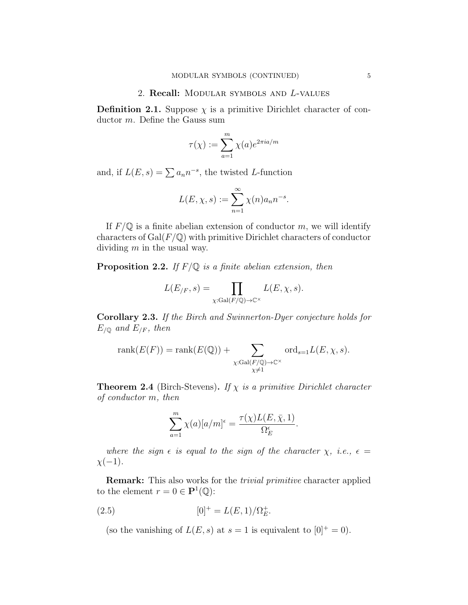#### 2. Recall: Modular symbols and L-values

<span id="page-4-0"></span>**Definition 2.1.** Suppose  $\chi$  is a primitive Dirichlet character of conductor m. Define the Gauss sum

$$
\tau(\chi) := \sum_{a=1}^{m} \chi(a) e^{2\pi i a/m}
$$

and, if  $L(E, s) = \sum a_n n^{-s}$ , the twisted L-function

$$
L(E, \chi, s) := \sum_{n=1}^{\infty} \chi(n) a_n n^{-s}.
$$

If  $F/\mathbb{Q}$  is a finite abelian extension of conductor m, we will identify characters of  $Gal(F/\mathbb{Q})$  with primitive Dirichlet characters of conductor dividing m in the usual way.

**Proposition 2.2.** If  $F/\mathbb{Q}$  is a finite abelian extension, then

$$
L(E_{/F}, s) = \prod_{\chi: \text{Gal}(F/\mathbb{Q}) \to \mathbb{C}^{\times}} L(E, \chi, s).
$$

Corollary 2.3. If the Birch and Swinnerton-Dyer conjecture holds for  $E_{/\mathbb{Q}}$  and  $E_{/F}$ , then

$$
rank(E(F)) = rank(E(\mathbb{Q})) + \sum_{\substack{\chi : \text{Gal}(F/\mathbb{Q}) \to \mathbb{C}^{\times} \\ \chi \neq 1}} ord_{s=1}L(E, \chi, s).
$$

<span id="page-4-1"></span>**Theorem 2.4** (Birch-Stevens). If  $\chi$  is a primitive Dirichlet character of conductor m, then

$$
\sum_{a=1}^{m} \chi(a)[a/m]^{\epsilon} = \frac{\tau(\chi)L(E,\bar{\chi},1)}{\Omega_E^{\epsilon}}.
$$

where the sign  $\epsilon$  is equal to the sign of the character  $\chi$ , i.e.,  $\epsilon$  =  $\chi(-1)$ .

Remark: This also works for the trivial primitive character applied to the element  $r = 0 \in \mathbf{P}^1(\mathbb{Q})$ :

(2.5) 
$$
[0]^+ = L(E, 1)/\Omega_E^+.
$$

(so the vanishing of  $L(E, s)$  at  $s = 1$  is equivalent to  $[0]^+ = 0$ ).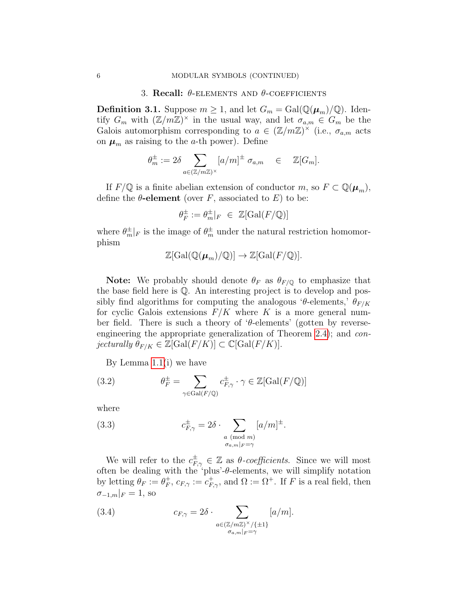#### 3. Recall:  $\theta$ -ELEMENTS AND  $\theta$ -COEFFICIENTS

<span id="page-5-0"></span>**Definition 3.1.** Suppose  $m \geq 1$ , and let  $G_m = \text{Gal}(\mathbb{Q}(\mu_m)/\mathbb{Q})$ . Identify  $G_m$  with  $(\mathbb{Z}/m\mathbb{Z})^{\times}$  in the usual way, and let  $\sigma_{a,m} \in G_m$  be the Galois automorphism corresponding to  $a \in (\mathbb{Z}/m\mathbb{Z})^{\times}$  (i.e.,  $\sigma_{a,m}$  acts on  $\mu_m$  as raising to the *a*-th power). Define

$$
\theta_m^\pm:=2\delta\sum_{a\in(\mathbb{Z}/m\mathbb{Z})^\times}[a/m]^\pm\;\sigma_{a,m}\quad\in\quad\mathbb{Z}[G_m].
$$

If  $F/\mathbb{Q}$  is a finite abelian extension of conductor m, so  $F \subset \mathbb{Q}(\mu_m)$ , define the  $\theta$ -element (over F, associated to E) to be:

$$
\theta_F^\pm:=\theta_m^\pm|_F\ \in\ \mathbb{Z}[{\rm Gal}(F/\mathbb{Q})]
$$

where  $\theta_m^{\pm}|_F$  is the image of  $\theta_m^{\pm}$  under the natural restriction homomorphism

$$
\mathbb{Z}[\text{Gal}(\mathbb{Q}(\boldsymbol{\mu}_m)/\mathbb{Q})] \to \mathbb{Z}[\text{Gal}(F/\mathbb{Q})].
$$

**Note:** We probably should denote  $\theta_F$  as  $\theta_{F/\mathbb{Q}}$  to emphasize that the base field here is Q. An interesting project is to develop and possibly find algorithms for computing the analogous 'θ-elements,'  $\theta_{F/K}$ for cyclic Galois extensions  $F/K$  where K is a more general number field. There is such a theory of ' $\theta$ -elements' (gotten by reverseengineering the appropriate generalization of Theorem [2.4\)](#page-4-1); and conjecturally  $\theta_{F/K} \in \mathbb{Z}[\text{Gal}(F/K)] \subset \mathbb{C}[\text{Gal}(F/K)].$ 

<span id="page-5-2"></span>By Lemma [1.1\(](#page-1-1)i) we have

(3.2) 
$$
\theta_F^{\pm} = \sum_{\gamma \in \text{Gal}(F/\mathbb{Q})} c_{F,\gamma}^{\pm} \cdot \gamma \in \mathbb{Z}[\text{Gal}(F/\mathbb{Q})]
$$

where

<span id="page-5-1"></span>(3.3) 
$$
c_{F,\gamma}^{\pm} = 2\delta \cdot \sum_{\substack{a \pmod{m} \\ \sigma_{a,m}|_F = \gamma}} [a/m]^{\pm}.
$$

We will refer to the  $c_{F,\gamma}^{\pm} \in \mathbb{Z}$  as  $\theta$ -coefficients. Since we will most often be dealing with the 'plus'- $\theta$ -elements, we will simplify notation by letting  $\theta_F := \theta_F^+$  ${}_{F}^{+}$ ,  $c_{F,\gamma} := c_{F,\gamma}^{+}$ , and  $\Omega := \Omega^{+}$ . If F is a real field, then  $\sigma_{-1,m}|_F = 1$ , so

<span id="page-5-3"></span>(3.4) 
$$
c_{F,\gamma} = 2\delta \cdot \sum_{\substack{a \in (\mathbb{Z}/m\mathbb{Z})^\times/\{\pm 1\} \\ \sigma_{a,m}|_F = \gamma}} [a/m].
$$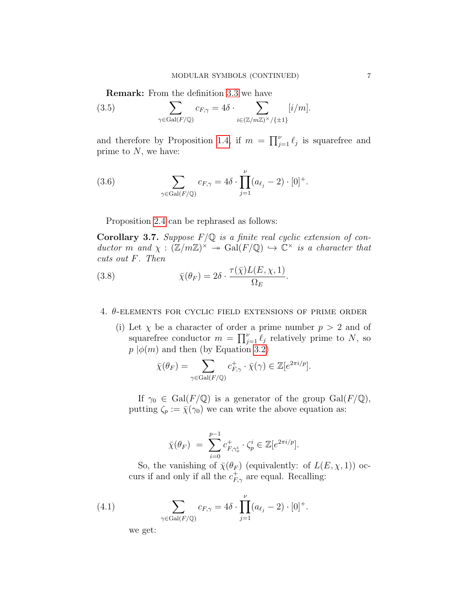Remark: From the definition [3.3](#page-5-1) we have

(3.5) 
$$
\sum_{\gamma \in \text{Gal}(F/\mathbb{Q})} c_{F,\gamma} = 4\delta \cdot \sum_{i \in (\mathbb{Z}/m\mathbb{Z})^{\times}/\{\pm 1\}} [i/m].
$$

and therefore by Proposition [1.4,](#page-3-1) if  $m = \prod_{j=1}^{\nu} \ell_j$  is squarefree and prime to  $N$ , we have:

(3.6) 
$$
\sum_{\gamma \in \text{Gal}(F/\mathbb{Q})} c_{F,\gamma} = 4\delta \cdot \prod_{j=1}^{\nu} (a_{\ell_j} - 2) \cdot [0]^+.
$$

Proposition [2.4](#page-4-1) can be rephrased as follows:

**Corollary 3.7.** Suppose  $F/Q$  is a finite real cyclic extension of conductor m and  $\chi : (\mathbb{Z}/m\mathbb{Z})^{\times} \to \text{Gal}(F/\mathbb{Q}) \to \mathbb{C}^{\times}$  is a character that cuts out F. Then

(3.8) 
$$
\bar{\chi}(\theta_F) = 2\delta \cdot \frac{\tau(\bar{\chi})L(E,\chi,1)}{\Omega_E}
$$

# <span id="page-6-0"></span>4.  $\theta$ -elements for cyclic field extensions of prime order

(i) Let  $\chi$  be a character of order a prime number  $p > 2$  and of squarefree conductor  $m = \prod_{j=1}^{\nu} \ell_j$  relatively prime to N, so  $p \mid \phi(m)$  and then (by Equation [3.2\)](#page-5-2)

.

$$
\bar{\chi}(\theta_F) = \sum_{\gamma \in \text{Gal}(F/\mathbb{Q})} c^+_{F,\gamma} \cdot \bar{\chi}(\gamma) \in \mathbb{Z}[e^{2\pi i/p}].
$$

If  $\gamma_0 \in \text{Gal}(F/\mathbb{Q})$  is a generator of the group  $\text{Gal}(F/\mathbb{Q})$ , putting  $\zeta_p := \bar{\chi}(\gamma_0)$  we can write the above equation as:

$$
\bar{\chi}(\theta_F) = \sum_{i=0}^{p-1} c^+_{F,\gamma_o^i} \cdot \zeta_p^i \in \mathbb{Z}[e^{2\pi i/p}].
$$

So, the vanishing of  $\bar{\chi}(\theta_F)$  (equivalently: of  $L(E, \chi, 1)$ ) occurs if and only if all the  $c_{F,\gamma}^+$  are equal. Recalling:

(4.1) 
$$
\sum_{\gamma \in Gal(F/\mathbb{Q})} c_{F,\gamma} = 4\delta \cdot \prod_{j=1}^{\nu} (a_{\ell_j} - 2) \cdot [0]^+.
$$

we get: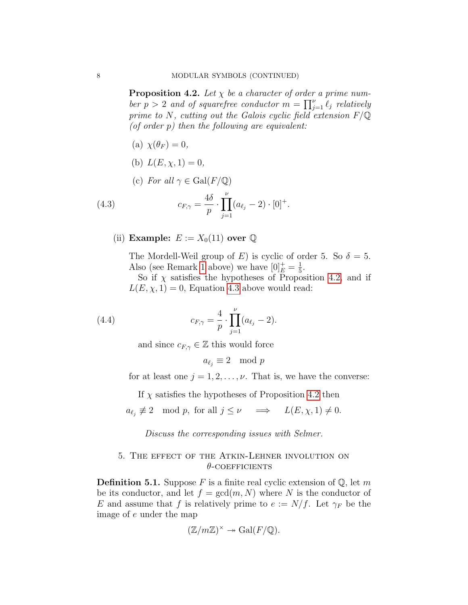<span id="page-7-1"></span>**Proposition 4.2.** Let  $\chi$  be a character of order a prime number  $p > 2$  and of squarefree conductor  $m = \prod_{j=1}^{\nu} \ell_j$  relatively prime to N, cutting out the Galois cyclic field extension  $F/\mathbb{Q}$ (of order  $p$ ) then the following are equivalent:

- (a)  $\chi(\theta_F) = 0$ ,
- (b)  $L(E, \chi, 1) = 0$ ,
- <span id="page-7-2"></span>(c) For all  $\gamma \in \text{Gal}(F/\mathbb{Q})$

(4.3) 
$$
c_{F,\gamma} = \frac{4\delta}{p} \cdot \prod_{j=1}^{\nu} (a_{\ell_j} - 2) \cdot [0]^+.
$$

(ii) Example:  $E := X_0(11)$  over  $\mathbb Q$ 

The Mordell-Weil group of E) is cyclic of order 5. So  $\delta = 5$ . Also (see Remark [1](#page-0-1) above) we have  $[0]_E^+ = \frac{1}{5}$  $\frac{1}{5}$ .

So if  $\chi$  satisfies the hypotheses of Proposition [4.2,](#page-7-1) and if  $L(E, \chi, 1) = 0$ , Equation [4.3](#page-7-2) above would read:

(4.4) 
$$
c_{F,\gamma} = \frac{4}{p} \cdot \prod_{j=1}^{\nu} (a_{\ell_j} - 2).
$$

and since  $c_{F,\gamma} \in \mathbb{Z}$  this would force

$$
a_{\ell_j} \equiv 2 \mod p
$$

for at least one  $j = 1, 2, \ldots, \nu$ . That is, we have the converse:

If  $\chi$  satisfies the hypotheses of Proposition [4.2](#page-7-1) then

$$
a_{\ell_j} \not\equiv 2 \mod p
$$
, for all  $j \leq \nu \implies L(E, \chi, 1) \neq 0$ .

Discuss the corresponding issues with Selmer.

## <span id="page-7-0"></span>5. The effect of the Atkin-Lehner involution on  $\theta$ -coefficients

**Definition 5.1.** Suppose F is a finite real cyclic extension of  $\mathbb{Q}$ , let m be its conductor, and let  $f = \gcd(m, N)$  where N is the conductor of E and assume that f is relatively prime to  $e := N/f$ . Let  $\gamma_F$  be the image of e under the map

$$
(\mathbb{Z}/m\mathbb{Z})^{\times} \twoheadrightarrow \mathrm{Gal}(F/\mathbb{Q}).
$$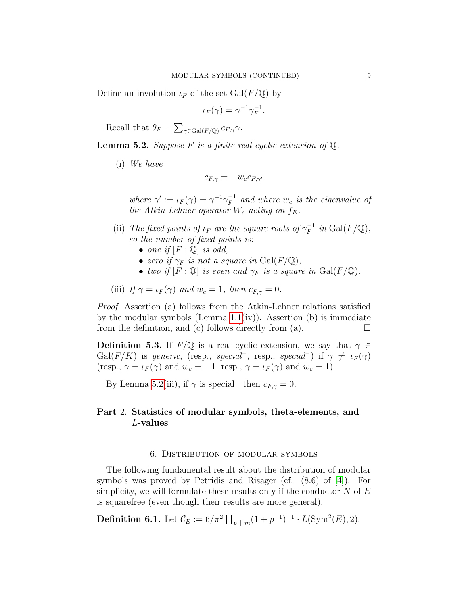Define an involution  $\iota_F$  of the set  $Gal(F/\mathbb{Q})$  by

$$
\iota_F(\gamma) = \gamma^{-1} \gamma_F^{-1}.
$$

Recall that  $\theta_F = \sum_{\gamma \in \text{Gal}(F/\mathbb{Q})} c_{F,\gamma} \gamma$ .

<span id="page-8-2"></span>**Lemma 5.2.** Suppose F is a finite real cyclic extension of  $\mathbb{Q}$ .

(i) We have

$$
c_{F,\gamma} = -w_e c_{F,\gamma'}
$$

where  $\gamma' := \iota_F(\gamma) = \gamma^{-1} \gamma_F^{-1}$  $F^{-1}$  and where  $w_e$  is the eigenvalue of the Atkin-Lehner operator  $W_e$  acting on  $f_E$ .

- (ii) The fixed points of  $\iota_F$  are the square roots of  $\gamma_F^{-1}$  $F^{-1}$  in Gal $(F/\mathbb{Q}),$ so the number of fixed points is:
	- one if  $[F: \mathbb{Q}]$  is odd,
	- zero if  $\gamma_F$  is not a square in  $Gal(F/\mathbb{Q}),$
	- two if  $[F: \mathbb{Q}]$  is even and  $\gamma_F$  is a square in  $Gal(F/\mathbb{Q})$ .

(iii) If 
$$
\gamma = \iota_F(\gamma)
$$
 and  $w_e = 1$ , then  $c_{F,\gamma} = 0$ .

Proof. Assertion (a) follows from the Atkin-Lehner relations satisfied by the modular symbols (Lemma  $1.1(iv)$ ). Assertion (b) is immediate from the definition, and (c) follows directly from (a).  $\Box$ 

**Definition 5.3.** If  $F/\mathbb{Q}$  is a real cyclic extension, we say that  $\gamma \in$ Gal(F/K) is generic, (resp., special<sup>+</sup>, resp., special<sup>-</sup>) if  $\gamma \neq \iota_F(\gamma)$ (resp.,  $\gamma = \iota_F(\gamma)$  and  $w_e = -1$ , resp.,  $\gamma = \iota_F(\gamma)$  and  $w_e = 1$ ).

By Lemma [5.2\(](#page-8-2)iii), if  $\gamma$  is special<sup>-</sup> then  $c_{F,\gamma} = 0$ .

# <span id="page-8-0"></span>Part 2. Statistics of modular symbols, theta-elements, and L-values

#### 6. Distribution of modular symbols

<span id="page-8-1"></span>The following fundamental result about the distribution of modular symbols was proved by Petridis and Risager (cf. (8.6) of [\[4\]](#page-11-2)). For simplicity, we will formulate these results only if the conductor  $N$  of  $E$ is squarefree (even though their results are more general).

**Definition 6.1.** Let  $\mathcal{C}_E := 6/\pi^2 \prod_{p \mid m} (1 + p^{-1})^{-1} \cdot L(\text{Sym}^2(E), 2)$ .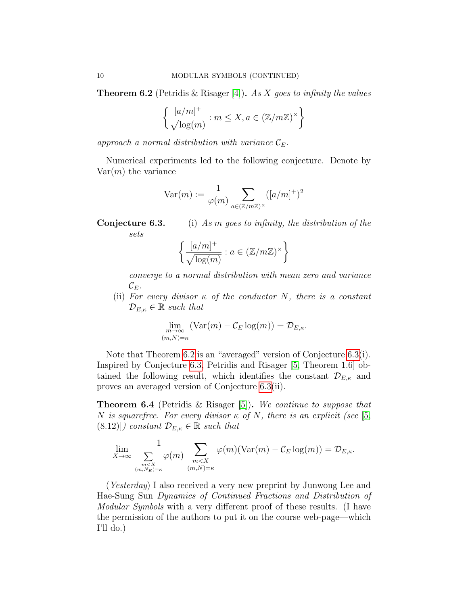<span id="page-9-0"></span>**Theorem 6.2** (Petridis & Risager [\[4\]](#page-11-2)). As X goes to infinity the values

$$
\left\{ \frac{[a/m]^+}{\sqrt{\log(m)}} : m \le X, a \in (\mathbb{Z}/m\mathbb{Z})^\times \right\}
$$

approach a normal distribution with variance  $\mathcal{C}_E$ .

Numerical experiments led to the following conjecture. Denote by  $Var(m)$  the variance

$$
\text{Var}(m) := \frac{1}{\varphi(m)} \sum_{a \in (\mathbb{Z}/m\mathbb{Z})^\times} ([a/m]^+)^2
$$

**Conjecture 6.3.** (i) As m goes to infinity, the distribution of the sets

$$
\left\{ \frac{[a/m]^+}{\sqrt{\log(m)}} : a \in (\mathbb{Z}/m\mathbb{Z})^\times \right\}
$$

converge to a normal distribution with mean zero and variance  $\mathcal{C}_E$ .

(ii) For every divisor  $\kappa$  of the conductor N, there is a constant  $\mathcal{D}_{E,\kappa} \in \mathbb{R}$  such that

$$
\lim_{m \to \infty} (\text{Var}(m) - C_E \log(m)) = \mathcal{D}_{E,\kappa}.
$$
  

$$
_{(m,N)=\kappa}
$$

Note that Theorem [6.2](#page-9-0) is an "averaged" version of Conjecture [6.3\(](#page-0-1)i). Inspired by Conjecture [6.3,](#page-0-1) Petridis and Risager [\[5,](#page-11-3) Theorem 1.6] obtained the following result, which identifies the constant  $\mathcal{D}_{E,\kappa}$  and proves an averaged version of Conjecture [6.3\(](#page-0-1)ii).

Theorem 6.4 (Petridis & Risager [\[5\]](#page-11-3)). We continue to suppose that N is squarefree. For every divisor  $\kappa$  of N, there is an explicit (see [\[5,](#page-11-3)  $(8.12)$ ) constant  $\mathcal{D}_{E,\kappa} \in \mathbb{R}$  such that

$$
\lim_{X \to \infty} \frac{1}{\sum_{\substack{m < X \\ (m, N_E) = \kappa}} \varphi(m)} \sum_{\substack{m < X \\ (m, N) = \kappa}} \varphi(m) (\text{Var}(m) - C_E \log(m)) = \mathcal{D}_{E, \kappa}.
$$

(Yesterday) I also received a very new preprint by Junwong Lee and Hae-Sung Sun Dynamics of Continued Fractions and Distribution of Modular Symbols with a very different proof of these results. (I have the permission of the authors to put it on the course web-page—which I'll do.)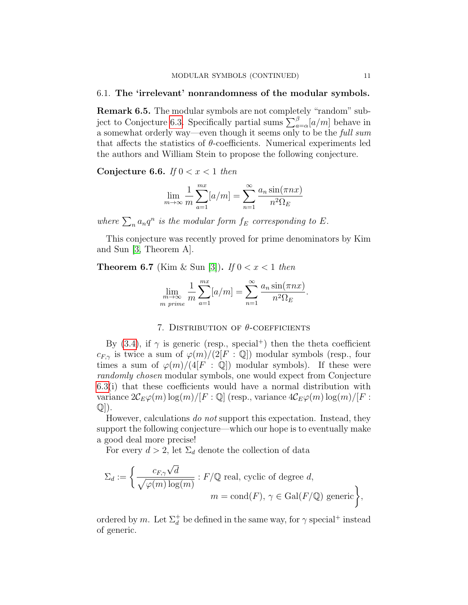#### 6.1. The 'irrelevant' nonrandomness of the modular symbols.

Remark 6.5. The modular symbols are not completely "random" sub-ject to Conjecture [6.3.](#page-0-1) Specifically partial sums  $\sum_{a=\alpha}^{\beta} [a/m]$  behave in a somewhat orderly way—even though it seems only to be the full sum that affects the statistics of  $\theta$ -coefficients. Numerical experiments led the authors and William Stein to propose the following conjecture.

Conjecture 6.6. If  $0 < x < 1$  then

$$
\lim_{m \to \infty} \frac{1}{m} \sum_{a=1}^{mx} [a/m] = \sum_{n=1}^{\infty} \frac{a_n \sin(\pi nx)}{n^2 \Omega_E}
$$

where  $\sum_n a_n q^n$  is the modular form  $f_E$  corresponding to E.

This conjecture was recently proved for prime denominators by Kim and Sun [\[3,](#page-11-4) Theorem A].

**Theorem 6.7** (Kim & Sun [\[3\]](#page-11-4)). If  $0 < x < 1$  then

$$
\lim_{\substack{m \to \infty \\ m \text{ prime}}} \frac{1}{m} \sum_{a=1}^{mx} [a/m] = \sum_{n=1}^{\infty} \frac{a_n \sin(\pi nx)}{n^2 \Omega_E}.
$$

# 7. DISTRIBUTION OF  $\theta$ -COEFFICIENTS

<span id="page-10-0"></span>By [\(3.4\)](#page-5-3), if  $\gamma$  is generic (resp., special<sup>+</sup>) then the theta coefficient  $c_{F,\gamma}$  is twice a sum of  $\varphi(m)/(2[F:\mathbb{Q}])$  modular symbols (resp., four times a sum of  $\varphi(m)/(4[F : \mathbb{Q}])$  modular symbols). If these were randomly chosen modular symbols, one would expect from Conjecture [6.3\(](#page-0-1)i) that these coefficients would have a normal distribution with variance  $2\mathcal{C}_E\varphi(m) \log(m)/[F:\mathbb{Q}]$  (resp., variance  $4\mathcal{C}_E\varphi(m) \log(m)/[F:\mathbb{Q}]$  $\mathbb{Q}$ .

However, calculations do not support this expectation. Instead, they support the following conjecture—which our hope is to eventually make a good deal more precise!

For every  $d > 2$ , let  $\Sigma_d$  denote the collection of data

$$
\Sigma_d := \left\{ \frac{c_{F,\gamma} \sqrt{d}}{\sqrt{\varphi(m) \log(m)}} : F/\mathbb{Q} \text{ real, cyclic of degree } d, \right\}
$$

$$
m = \text{cond}(F), \, \gamma \in \text{Gal}(F/\mathbb{Q}) \text{ generic} \right\},
$$

ordered by m. Let  $\Sigma_d^+$  be defined in the same way, for  $\gamma$  special<sup>+</sup> instead of generic.